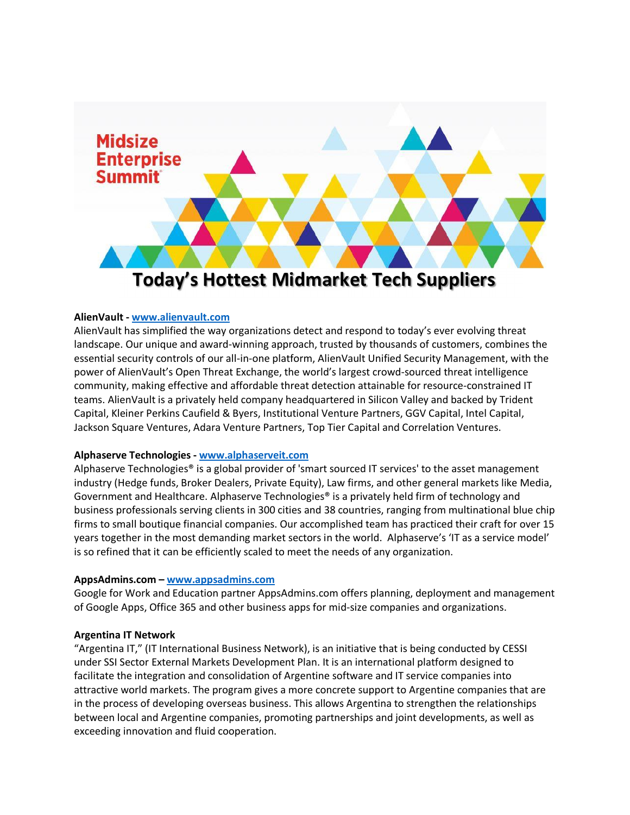

### **AlienVault - www.alienvault.com**

AlienVault has simplified the way organizations detect and respond to today's ever evolving threat landscape. Our unique and award-winning approach, trusted by thousands of customers, combines the essential security controls of our all-in-one platform, AlienVault Unified Security Management, with the power of AlienVault's Open Threat Exchange, the world's largest crowd-sourced threat intelligence community, making effective and affordable threat detection attainable for resource-constrained IT teams. AlienVault is a privately held company headquartered in Silicon Valley and backed by Trident Capital, Kleiner Perkins Caufield & Byers, Institutional Venture Partners, GGV Capital, Intel Capital, Jackson Square Ventures, Adara Venture Partners, Top Tier Capital and Correlation Ventures.

### **Alphaserve Technologies - www.alphaserveit.com**

Alphaserve Technologies® is a global provider of 'smart sourced IT services' to the asset management industry (Hedge funds, Broker Dealers, Private Equity), Law firms, and other general markets like Media, Government and Healthcare. Alphaserve Technologies® is a privately held firm of technology and business professionals serving clients in 300 cities and 38 countries, ranging from multinational blue chip firms to small boutique financial companies. Our accomplished team has practiced their craft for over 15 years together in the most demanding market sectors in the world. Alphaserve's 'IT as a service model' is so refined that it can be efficiently scaled to meet the needs of any organization.

### **AppsAdmins.com – www.appsadmins.com**

Google for Work and Education partner AppsAdmins.com offers planning, deployment and management of Google Apps, Office 365 and other business apps for mid-size companies and organizations.

### **Argentina IT Network**

"Argentina IT," (IT International Business Network), is an initiative that is being conducted by CESSI under SSI Sector External Markets Development Plan. It is an international platform designed to facilitate the integration and consolidation of Argentine software and IT service companies into attractive world markets. The program gives a more concrete support to Argentine companies that are in the process of developing overseas business. This allows Argentina to strengthen the relationships between local and Argentine companies, promoting partnerships and joint developments, as well as exceeding innovation and fluid cooperation.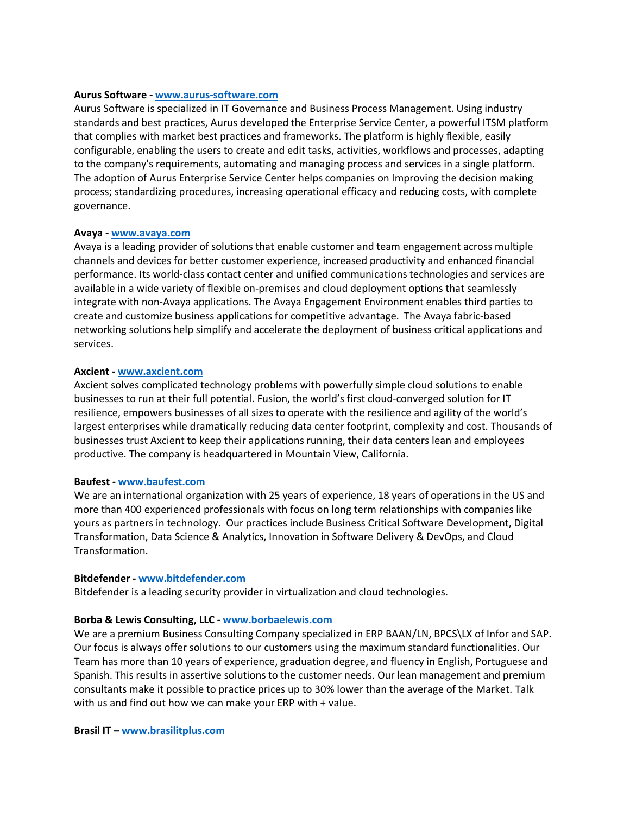### **Aurus Software - www.aurus-software.com**

Aurus Software is specialized in IT Governance and Business Process Management. Using industry standards and best practices, Aurus developed the Enterprise Service Center, a powerful ITSM platform that complies with market best practices and frameworks. The platform is highly flexible, easily configurable, enabling the users to create and edit tasks, activities, workflows and processes, adapting to the company's requirements, automating and managing process and services in a single platform. The adoption of Aurus Enterprise Service Center helps companies on Improving the decision making process; standardizing procedures, increasing operational efficacy and reducing costs, with complete governance.

### **Avaya - www.avaya.com**

Avaya is a leading provider of solutions that enable customer and team engagement across multiple channels and devices for better customer experience, increased productivity and enhanced financial performance. Its world-class contact center and unified communications technologies and services are available in a wide variety of flexible on-premises and cloud deployment options that seamlessly integrate with non-Avaya applications. The Avaya Engagement Environment enables third parties to create and customize business applications for competitive advantage. The Avaya fabric-based networking solutions help simplify and accelerate the deployment of business critical applications and services.

### **Axcient - www.axcient.com**

Axcient solves complicated technology problems with powerfully simple cloud solutions to enable businesses to run at their full potential. Fusion, the world's first cloud-converged solution for IT resilience, empowers businesses of all sizes to operate with the resilience and agility of the world's largest enterprises while dramatically reducing data center footprint, complexity and cost. Thousands of businesses trust Axcient to keep their applications running, their data centers lean and employees productive. The company is headquartered in Mountain View, California.

### **Baufest - www.baufest.com**

We are an international organization with 25 years of experience, 18 years of operations in the US and more than 400 experienced professionals with focus on long term relationships with companies like yours as partners in technology. Our practices include Business Critical Software Development, Digital Transformation, Data Science & Analytics, Innovation in Software Delivery & DevOps, and Cloud Transformation.

### **Bitdefender - www.bitdefender.com**

Bitdefender is a leading security provider in virtualization and cloud technologies.

### **Borba & Lewis Consulting, LLC - www.borbaelewis.com**

We are a premium Business Consulting Company specialized in ERP BAAN/LN, BPCS\LX of Infor and SAP. Our focus is always offer solutions to our customers using the maximum standard functionalities. Our Team has more than 10 years of experience, graduation degree, and fluency in English, Portuguese and Spanish. This results in assertive solutions to the customer needs. Our lean management and premium consultants make it possible to practice prices up to 30% lower than the average of the Market. Talk with us and find out how we can make your ERP with + value.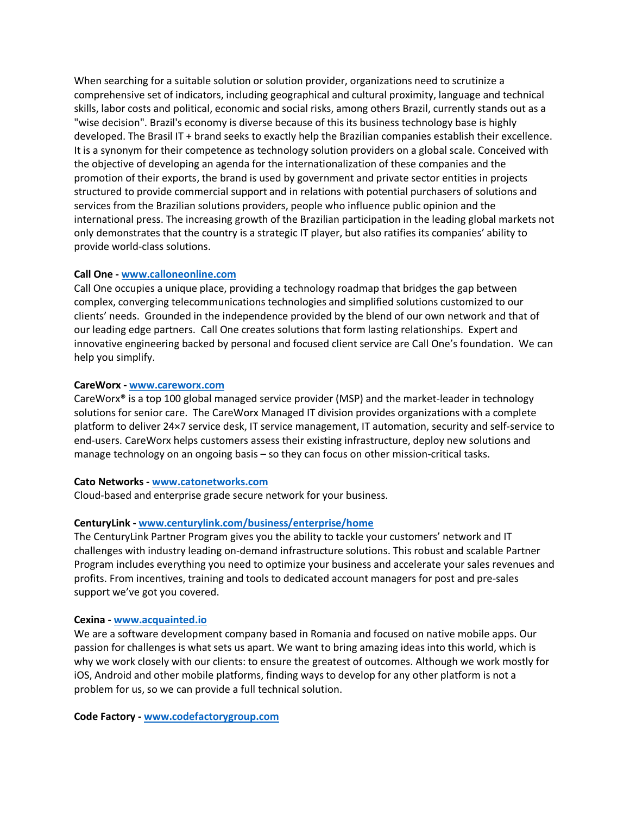When searching for a suitable solution or solution provider, organizations need to scrutinize a comprehensive set of indicators, including geographical and cultural proximity, language and technical skills, labor costs and political, economic and social risks, among others Brazil, currently stands out as a "wise decision". Brazil's economy is diverse because of this its business technology base is highly developed. The Brasil IT + brand seeks to exactly help the Brazilian companies establish their excellence. It is a synonym for their competence as technology solution providers on a global scale. Conceived with the objective of developing an agenda for the internationalization of these companies and the promotion of their exports, the brand is used by government and private sector entities in projects structured to provide commercial support and in relations with potential purchasers of solutions and services from the Brazilian solutions providers, people who influence public opinion and the international press. The increasing growth of the Brazilian participation in the leading global markets not only demonstrates that the country is a strategic IT player, but also ratifies its companies' ability to provide world-class solutions.

# **Call One - www.calloneonline.com**

Call One occupies a unique place, providing a technology roadmap that bridges the gap between complex, converging telecommunications technologies and simplified solutions customized to our clients' needs. Grounded in the independence provided by the blend of our own network and that of our leading edge partners. Call One creates solutions that form lasting relationships. Expert and innovative engineering backed by personal and focused client service are Call One's foundation. We can help you simplify.

### **CareWorx - www.careworx.com**

CareWorx® is a top 100 global managed service provider (MSP) and the market-leader in technology solutions for senior care. The CareWorx Managed IT division provides organizations with a complete platform to deliver 24×7 service desk, IT service management, IT automation, security and self-service to end-users. CareWorx helps customers assess their existing infrastructure, deploy new solutions and manage technology on an ongoing basis – so they can focus on other mission-critical tasks.

### **Cato Networks - www.catonetworks.com**

Cloud-based and enterprise grade secure network for your business.

# **CenturyLink - www.centurylink.com/business/enterprise/home**

The CenturyLink Partner Program gives you the ability to tackle your customers' network and IT challenges with industry leading on-demand infrastructure solutions. This robust and scalable Partner Program includes everything you need to optimize your business and accelerate your sales revenues and profits. From incentives, training and tools to dedicated account managers for post and pre-sales support we've got you covered.

### **Cexina - www.acquainted.io**

We are a software development company based in Romania and focused on native mobile apps. Our passion for challenges is what sets us apart. We want to bring amazing ideas into this world, which is why we work closely with our clients: to ensure the greatest of outcomes. Although we work mostly for iOS, Android and other mobile platforms, finding ways to develop for any other platform is not a problem for us, so we can provide a full technical solution.

**Code Factory - www.codefactorygroup.com**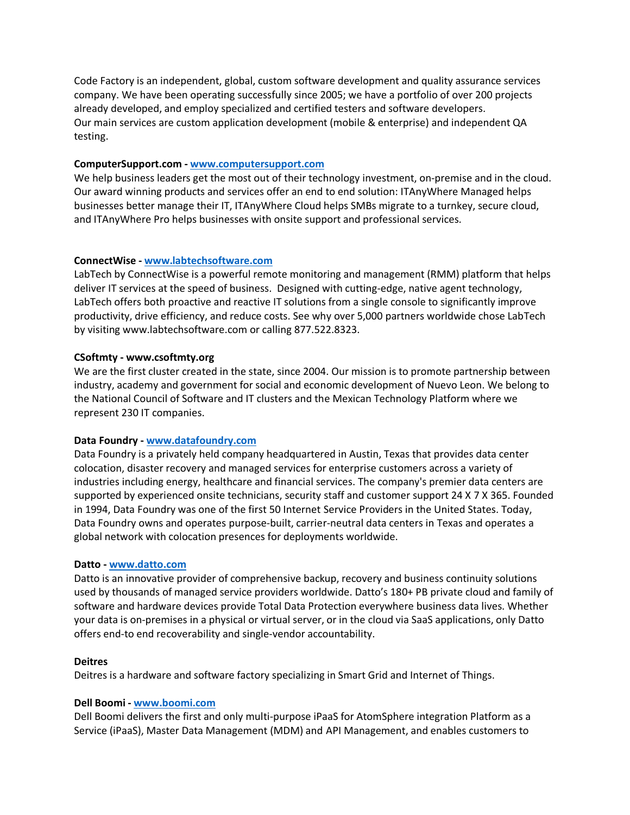Code Factory is an independent, global, custom software development and quality assurance services company. We have been operating successfully since 2005; we have a portfolio of over 200 projects already developed, and employ specialized and certified testers and software developers. Our main services are custom application development (mobile & enterprise) and independent QA testing.

# **ComputerSupport.com - www.computersupport.com**

We help business leaders get the most out of their technology investment, on-premise and in the cloud. Our award winning products and services offer an end to end solution: ITAnyWhere Managed helps businesses better manage their IT, ITAnyWhere Cloud helps SMBs migrate to a turnkey, secure cloud, and ITAnyWhere Pro helps businesses with onsite support and professional services.

# **ConnectWise - www.labtechsoftware.com**

LabTech by ConnectWise is a powerful remote monitoring and management (RMM) platform that helps deliver IT services at the speed of business. Designed with cutting-edge, native agent technology, LabTech offers both proactive and reactive IT solutions from a single console to significantly improve productivity, drive efficiency, and reduce costs. See why over 5,000 partners worldwide chose LabTech by visiting www.labtechsoftware.com or calling 877.522.8323.

# **CSoftmty - www.csoftmty.org**

We are the first cluster created in the state, since 2004. Our mission is to promote partnership between industry, academy and government for social and economic development of Nuevo Leon. We belong to the National Council of Software and IT clusters and the Mexican Technology Platform where we represent 230 IT companies.

### **Data Foundry - www.datafoundry.com**

Data Foundry is a privately held company headquartered in Austin, Texas that provides data center colocation, disaster recovery and managed services for enterprise customers across a variety of industries including energy, healthcare and financial services. The company's premier data centers are supported by experienced onsite technicians, security staff and customer support 24 X 7 X 365. Founded in 1994, Data Foundry was one of the first 50 Internet Service Providers in the United States. Today, Data Foundry owns and operates purpose-built, carrier-neutral data centers in Texas and operates a global network with colocation presences for deployments worldwide.

### **Datto - www.datto.com**

Datto is an innovative provider of comprehensive backup, recovery and business continuity solutions used by thousands of managed service providers worldwide. Datto's 180+ PB private cloud and family of software and hardware devices provide Total Data Protection everywhere business data lives. Whether your data is on-premises in a physical or virtual server, or in the cloud via SaaS applications, only Datto offers end-to end recoverability and single-vendor accountability.

### **Deitres**

Deitres is a hardware and software factory specializing in Smart Grid and Internet of Things.

### **Dell Boomi - www.boomi.com**

Dell Boomi delivers the first and only multi-purpose iPaaS for AtomSphere integration Platform as a Service (iPaaS), Master Data Management (MDM) and API Management, and enables customers to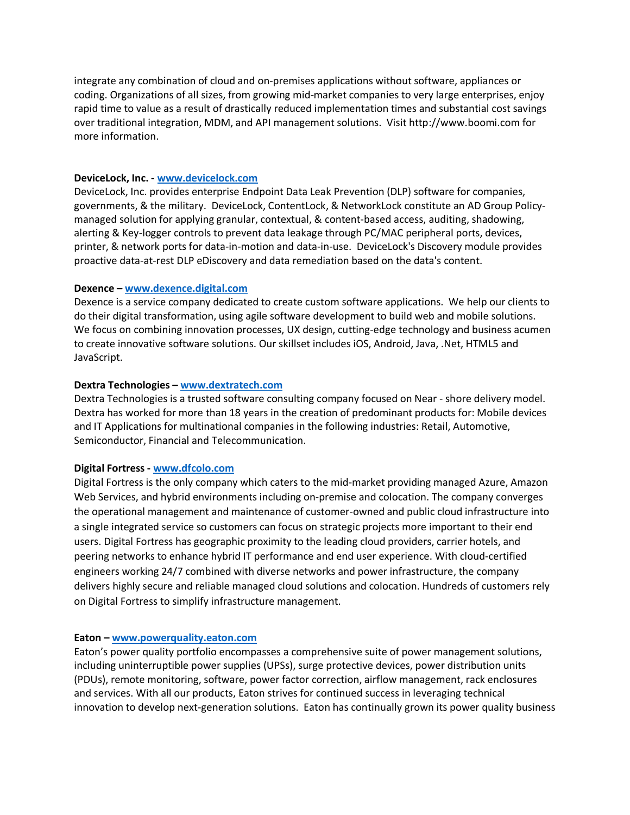integrate any combination of cloud and on-premises applications without software, appliances or coding. Organizations of all sizes, from growing mid-market companies to very large enterprises, enjoy rapid time to value as a result of drastically reduced implementation times and substantial cost savings over traditional integration, MDM, and API management solutions. Visit http://www.boomi.com for more information.

### **DeviceLock, Inc. - www.devicelock.com**

DeviceLock, Inc. provides enterprise Endpoint Data Leak Prevention (DLP) software for companies, governments, & the military. DeviceLock, ContentLock, & NetworkLock constitute an AD Group Policymanaged solution for applying granular, contextual, & content-based access, auditing, shadowing, alerting & Key-logger controls to prevent data leakage through PC/MAC peripheral ports, devices, printer, & network ports for data-in-motion and data-in-use. DeviceLock's Discovery module provides proactive data-at-rest DLP eDiscovery and data remediation based on the data's content.

# **Dexence – www.dexence.digital.com**

Dexence is a service company dedicated to create custom software applications. We help our clients to do their digital transformation, using agile software development to build web and mobile solutions. We focus on combining innovation processes, UX design, cutting-edge technology and business acumen to create innovative software solutions. Our skillset includes iOS, Android, Java, .Net, HTML5 and JavaScript.

# **Dextra Technologies – www.dextratech.com**

Dextra Technologies is a trusted software consulting company focused on Near - shore delivery model. Dextra has worked for more than 18 years in the creation of predominant products for: Mobile devices and IT Applications for multinational companies in the following industries: Retail, Automotive, Semiconductor, Financial and Telecommunication.

### **Digital Fortress - www.dfcolo.com**

Digital Fortress is the only company which caters to the mid-market providing managed Azure, Amazon Web Services, and hybrid environments including on-premise and colocation. The company converges the operational management and maintenance of customer-owned and public cloud infrastructure into a single integrated service so customers can focus on strategic projects more important to their end users. Digital Fortress has geographic proximity to the leading cloud providers, carrier hotels, and peering networks to enhance hybrid IT performance and end user experience. With cloud-certified engineers working 24/7 combined with diverse networks and power infrastructure, the company delivers highly secure and reliable managed cloud solutions and colocation. Hundreds of customers rely on Digital Fortress to simplify infrastructure management.

### **Eaton – www.powerquality.eaton.com**

Eaton's power quality portfolio encompasses a comprehensive suite of power management solutions, including uninterruptible power supplies (UPSs), surge protective devices, power distribution units (PDUs), remote monitoring, software, power factor correction, airflow management, rack enclosures and services. With all our products, Eaton strives for continued success in leveraging technical innovation to develop next-generation solutions. Eaton has continually grown its power quality business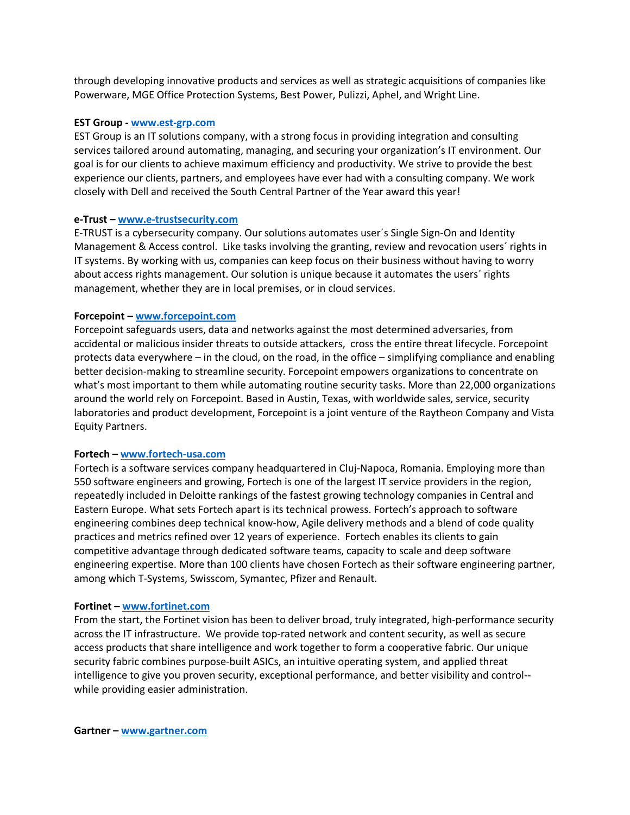through developing innovative products and services as well as strategic acquisitions of companies like Powerware, MGE Office Protection Systems, Best Power, Pulizzi, Aphel, and Wright Line.

#### **EST Group - www.est-grp.com**

EST Group is an IT solutions company, with a strong focus in providing integration and consulting services tailored around automating, managing, and securing your organization's IT environment. Our goal is for our clients to achieve maximum efficiency and productivity. We strive to provide the best experience our clients, partners, and employees have ever had with a consulting company. We work closely with Dell and received the South Central Partner of the Year award this year!

### **e-Trust – www.e-trustsecurity.com**

E-TRUST is a cybersecurity company. Our solutions automates user´s Single Sign-On and Identity Management & Access control. Like tasks involving the granting, review and revocation users´ rights in IT systems. By working with us, companies can keep focus on their business without having to worry about access rights management. Our solution is unique because it automates the users´ rights management, whether they are in local premises, or in cloud services.

#### **Forcepoint – www.forcepoint.com**

Forcepoint safeguards users, data and networks against the most determined adversaries, from accidental or malicious insider threats to outside attackers, cross the entire threat lifecycle. Forcepoint protects data everywhere – in the cloud, on the road, in the office – simplifying compliance and enabling better decision-making to streamline security. Forcepoint empowers organizations to concentrate on what's most important to them while automating routine security tasks. More than 22,000 organizations around the world rely on Forcepoint. Based in Austin, Texas, with worldwide sales, service, security laboratories and product development, Forcepoint is a joint venture of the Raytheon Company and Vista Equity Partners.

### **Fortech – www.fortech-usa.com**

Fortech is a software services company headquartered in Cluj-Napoca, Romania. Employing more than 550 software engineers and growing, Fortech is one of the largest IT service providers in the region, repeatedly included in Deloitte rankings of the fastest growing technology companies in Central and Eastern Europe. What sets Fortech apart is its technical prowess. Fortech's approach to software engineering combines deep technical know-how, Agile delivery methods and a blend of code quality practices and metrics refined over 12 years of experience. Fortech enables its clients to gain competitive advantage through dedicated software teams, capacity to scale and deep software engineering expertise. More than 100 clients have chosen Fortech as their software engineering partner, among which T-Systems, Swisscom, Symantec, Pfizer and Renault.

#### **Fortinet – www.fortinet.com**

From the start, the Fortinet vision has been to deliver broad, truly integrated, high-performance security across the IT infrastructure. We provide top-rated network and content security, as well as secure access products that share intelligence and work together to form a cooperative fabric. Our unique security fabric combines purpose-built ASICs, an intuitive operating system, and applied threat intelligence to give you proven security, exceptional performance, and better visibility and control- while providing easier administration.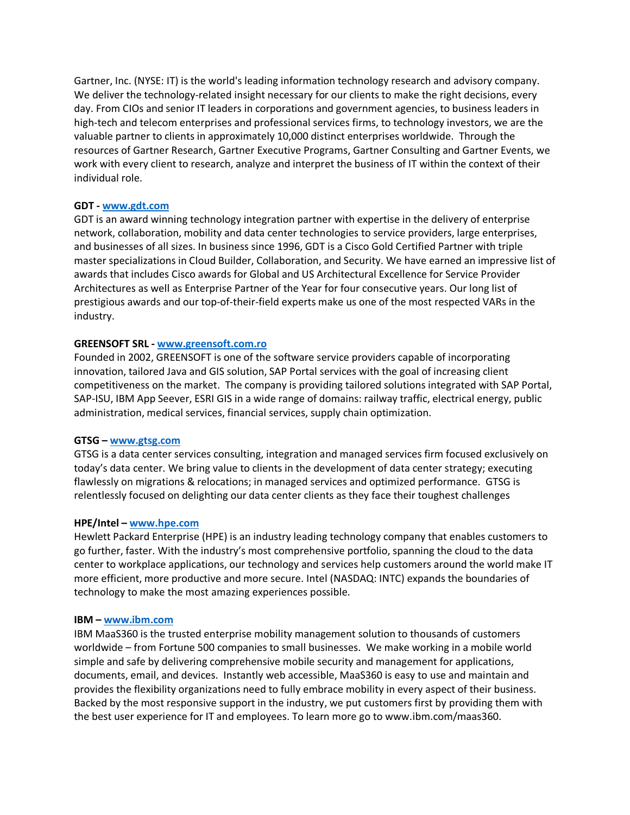Gartner, Inc. (NYSE: IT) is the world's leading information technology research and advisory company. We deliver the technology-related insight necessary for our clients to make the right decisions, every day. From CIOs and senior IT leaders in corporations and government agencies, to business leaders in high-tech and telecom enterprises and professional services firms, to technology investors, we are the valuable partner to clients in approximately 10,000 distinct enterprises worldwide. Through the resources of Gartner Research, Gartner Executive Programs, Gartner Consulting and Gartner Events, we work with every client to research, analyze and interpret the business of IT within the context of their individual role.

# **GDT - www.gdt.com**

GDT is an award winning technology integration partner with expertise in the delivery of enterprise network, collaboration, mobility and data center technologies to service providers, large enterprises, and businesses of all sizes. In business since 1996, GDT is a Cisco Gold Certified Partner with triple master specializations in Cloud Builder, Collaboration, and Security. We have earned an impressive list of awards that includes Cisco awards for Global and US Architectural Excellence for Service Provider Architectures as well as Enterprise Partner of the Year for four consecutive years. Our long list of prestigious awards and our top-of-their-field experts make us one of the most respected VARs in the industry.

# **GREENSOFT SRL - www.greensoft.com.ro**

Founded in 2002, GREENSOFT is one of the software service providers capable of incorporating innovation, tailored Java and GIS solution, SAP Portal services with the goal of increasing client competitiveness on the market. The company is providing tailored solutions integrated with SAP Portal, SAP-ISU, IBM App Seever, ESRI GIS in a wide range of domains: railway traffic, electrical energy, public administration, medical services, financial services, supply chain optimization.

### **GTSG – www.gtsg.com**

GTSG is a data center services consulting, integration and managed services firm focused exclusively on today's data center. We bring value to clients in the development of data center strategy; executing flawlessly on migrations & relocations; in managed services and optimized performance. GTSG is relentlessly focused on delighting our data center clients as they face their toughest challenges

### **HPE/Intel – www.hpe.com**

Hewlett Packard Enterprise (HPE) is an industry leading technology company that enables customers to go further, faster. With the industry's most comprehensive portfolio, spanning the cloud to the data center to workplace applications, our technology and services help customers around the world make IT more efficient, more productive and more secure. Intel (NASDAQ: INTC) expands the boundaries of technology to make the most amazing experiences possible.

### **IBM – www.ibm.com**

IBM MaaS360 is the trusted enterprise mobility management solution to thousands of customers worldwide – from Fortune 500 companies to small businesses. We make working in a mobile world simple and safe by delivering comprehensive mobile security and management for applications, documents, email, and devices. Instantly web accessible, MaaS360 is easy to use and maintain and provides the flexibility organizations need to fully embrace mobility in every aspect of their business. Backed by the most responsive support in the industry, we put customers first by providing them with the best user experience for IT and employees. To learn more go to www.ibm.com/maas360.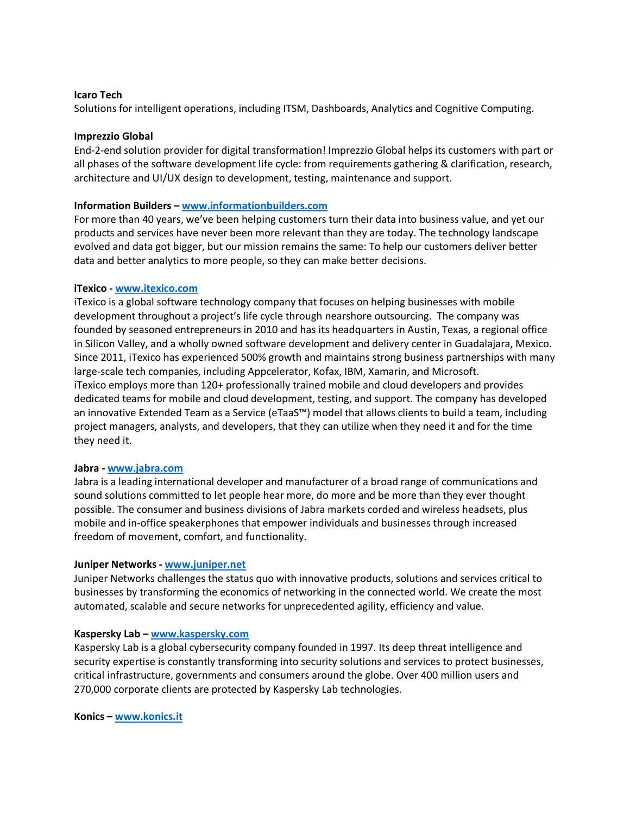# **Icaro Tech**

Solutions for intelligent operations, including ITSM, Dashboards, Analytics and Cognitive Computing.

### **Imprezzio Global**

End-2-end solution provider for digital transformation! Imprezzio Global helps its customers with part or all phases of the software development life cycle: from requirements gathering & clarification, research, architecture and UI/UX design to development, testing, maintenance and support.

# **Information Builders – www.informationbuilders.com**

For more than 40 years, we've been helping customers turn their data into business value, and yet our products and services have never been more relevant than they are today. The technology landscape evolved and data got bigger, but our mission remains the same: To help our customers deliver better data and better analytics to more people, so they can make better decisions.

# **iTexico - www.itexico.com**

iTexico is a global software technology company that focuses on helping businesses with mobile development throughout a project's life cycle through nearshore outsourcing. The company was founded by seasoned entrepreneurs in 2010 and has its headquarters in Austin, Texas, a regional office in Silicon Valley, and a wholly owned software development and delivery center in Guadalajara, Mexico. Since 2011, iTexico has experienced 500% growth and maintains strong business partnerships with many large-scale tech companies, including Appcelerator, Kofax, IBM, Xamarin, and Microsoft. iTexico employs more than 120+ professionally trained mobile and cloud developers and provides dedicated teams for mobile and cloud development, testing, and support. The company has developed an innovative Extended Team as a Service (eTaaS™) model that allows clients to build a team, including project managers, analysts, and developers, that they can utilize when they need it and for the time they need it.

### **Jabra - www.jabra.com**

Jabra is a leading international developer and manufacturer of a broad range of communications and sound solutions committed to let people hear more, do more and be more than they ever thought possible. The consumer and business divisions of Jabra markets corded and wireless headsets, plus mobile and in-office speakerphones that empower individuals and businesses through increased freedom of movement, comfort, and functionality.

### **Juniper Networks - www.juniper.net**

Juniper Networks challenges the status quo with innovative products, solutions and services critical to businesses by transforming the economics of networking in the connected world. We create the most automated, scalable and secure networks for unprecedented agility, efficiency and value.

# **Kaspersky Lab – www.kaspersky.com**

Kaspersky Lab is a global cybersecurity company founded in 1997. Its deep threat intelligence and security expertise is constantly transforming into security solutions and services to protect businesses, critical infrastructure, governments and consumers around the globe. Over 400 million users and 270,000 corporate clients are protected by Kaspersky Lab technologies.

**Konics – www.konics.it**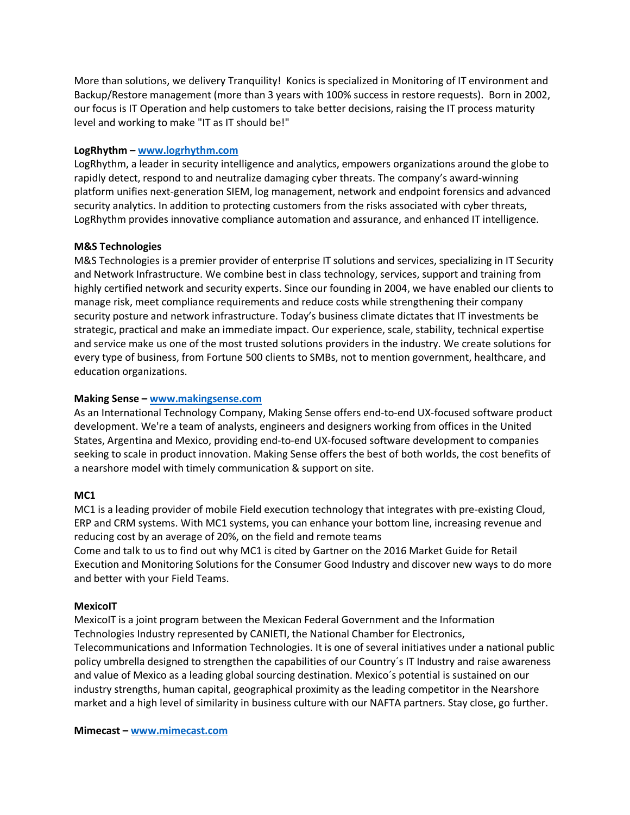More than solutions, we delivery Tranquility! Konics is specialized in Monitoring of IT environment and Backup/Restore management (more than 3 years with 100% success in restore requests). Born in 2002, our focus is IT Operation and help customers to take better decisions, raising the IT process maturity level and working to make "IT as IT should be!"

# **LogRhythm – www.logrhythm.com**

LogRhythm, a leader in security intelligence and analytics, empowers organizations around the globe to rapidly detect, respond to and neutralize damaging cyber threats. The company's award-winning platform unifies next-generation SIEM, log management, network and endpoint forensics and advanced security analytics. In addition to protecting customers from the risks associated with cyber threats, LogRhythm provides innovative compliance automation and assurance, and enhanced IT intelligence.

# **M&S Technologies**

M&S Technologies is a premier provider of enterprise IT solutions and services, specializing in IT Security and Network Infrastructure. We combine best in class technology, services, support and training from highly certified network and security experts. Since our founding in 2004, we have enabled our clients to manage risk, meet compliance requirements and reduce costs while strengthening their company security posture and network infrastructure. Today's business climate dictates that IT investments be strategic, practical and make an immediate impact. Our experience, scale, stability, technical expertise and service make us one of the most trusted solutions providers in the industry. We create solutions for every type of business, from Fortune 500 clients to SMBs, not to mention government, healthcare, and education organizations.

# **Making Sense – www.makingsense.com**

As an International Technology Company, Making Sense offers end-to-end UX-focused software product development. We're a team of analysts, engineers and designers working from offices in the United States, Argentina and Mexico, providing end-to-end UX-focused software development to companies seeking to scale in product innovation. Making Sense offers the best of both worlds, the cost benefits of a nearshore model with timely communication & support on site.

# **MC1**

MC1 is a leading provider of mobile Field execution technology that integrates with pre-existing Cloud, ERP and CRM systems. With MC1 systems, you can enhance your bottom line, increasing revenue and reducing cost by an average of 20%, on the field and remote teams Come and talk to us to find out why MC1 is cited by Gartner on the 2016 Market Guide for Retail Execution and Monitoring Solutions for the Consumer Good Industry and discover new ways to do more and better with your Field Teams.

# **MexicoIT**

MexicoIT is a joint program between the Mexican Federal Government and the Information Technologies Industry represented by CANIETI, the National Chamber for Electronics, Telecommunications and Information Technologies. It is one of several initiatives under a national public policy umbrella designed to strengthen the capabilities of our Country´s IT Industry and raise awareness and value of Mexico as a leading global sourcing destination. Mexico´s potential is sustained on our industry strengths, human capital, geographical proximity as the leading competitor in the Nearshore market and a high level of similarity in business culture with our NAFTA partners. Stay close, go further.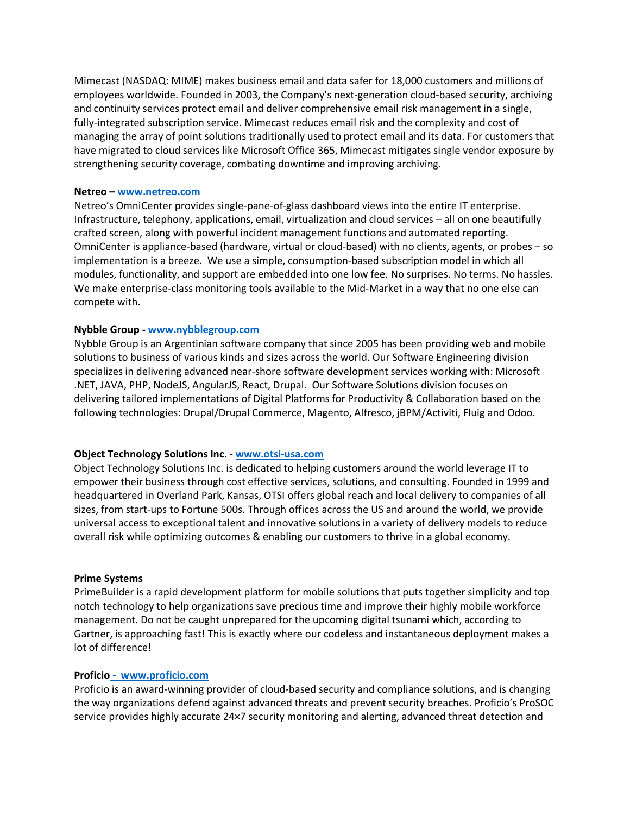Mimecast (NASDAQ: MIME) makes business email and data safer for 18,000 customers and millions of employees worldwide. Founded in 2003, the Company's next-generation cloud-based security, archiving and continuity services protect email and deliver comprehensive email risk management in a single, fully-integrated subscription service. Mimecast reduces email risk and the complexity and cost of managing the array of point solutions traditionally used to protect email and its data. For customers that have migrated to cloud services like Microsoft Office 365, Mimecast mitigates single vendor exposure by strengthening security coverage, combating downtime and improving archiving.

### **Netreo – www.netreo.com**

Netreo's OmniCenter provides single-pane-of-glass dashboard views into the entire IT enterprise. Infrastructure, telephony, applications, email, virtualization and cloud services – all on one beautifully crafted screen, along with powerful incident management functions and automated reporting. OmniCenter is appliance-based (hardware, virtual or cloud-based) with no clients, agents, or probes – so implementation is a breeze. We use a simple, consumption-based subscription model in which all modules, functionality, and support are embedded into one low fee. No surprises. No terms. No hassles. We make enterprise-class monitoring tools available to the Mid-Market in a way that no one else can compete with.

# **Nybble Group - www.nybblegroup.com**

Nybble Group is an Argentinian software company that since 2005 has been providing web and mobile solutions to business of various kinds and sizes across the world. Our Software Engineering division specializes in delivering advanced near-shore software development services working with: Microsoft .NET, JAVA, PHP, NodeJS, AngularJS, React, Drupal. Our Software Solutions division focuses on delivering tailored implementations of Digital Platforms for Productivity & Collaboration based on the following technologies: Drupal/Drupal Commerce, Magento, Alfresco, jBPM/Activiti, Fluig and Odoo.

### **Object Technology Solutions Inc. - www.otsi-usa.com**

Object Technology Solutions Inc. is dedicated to helping customers around the world leverage IT to empower their business through cost effective services, solutions, and consulting. Founded in 1999 and headquartered in Overland Park, Kansas, OTSI offers global reach and local delivery to companies of all sizes, from start-ups to Fortune 500s. Through offices across the US and around the world, we provide universal access to exceptional talent and innovative solutions in a variety of delivery models to reduce overall risk while optimizing outcomes & enabling our customers to thrive in a global economy.

#### **Prime Systems**

PrimeBuilder is a rapid development platform for mobile solutions that puts together simplicity and top notch technology to help organizations save precious time and improve their highly mobile workforce management. Do not be caught unprepared for the upcoming digital tsunami which, according to Gartner, is approaching fast! This is exactly where our codeless and instantaneous deployment makes a lot of difference!

#### **Proficio - www.proficio.com**

Proficio is an award-winning provider of cloud-based security and compliance solutions, and is changing the way organizations defend against advanced threats and prevent security breaches. Proficio's ProSOC service provides highly accurate 24×7 security monitoring and alerting, advanced threat detection and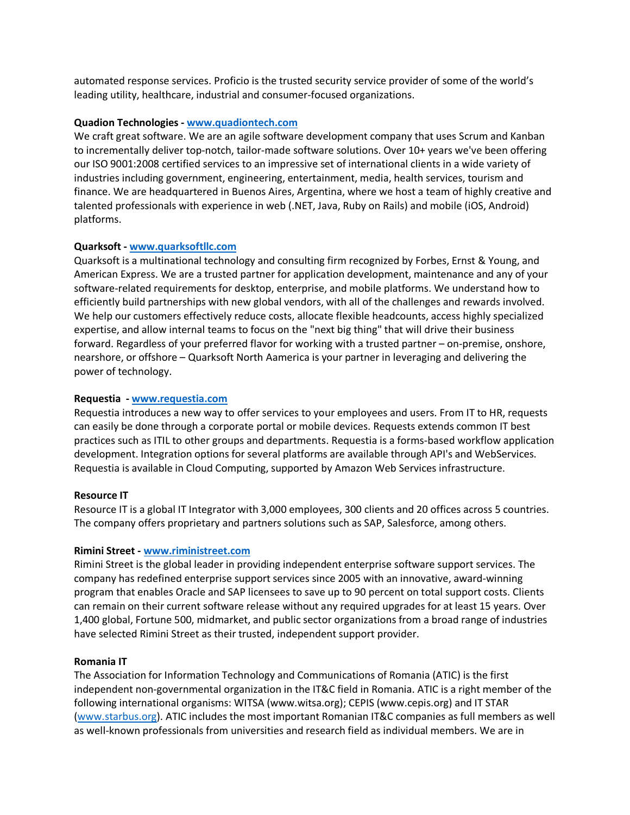automated response services. Proficio is the trusted security service provider of some of the world's leading utility, healthcare, industrial and consumer-focused organizations.

### **Quadion Technologies - www.quadiontech.com**

We craft great software. We are an agile software development company that uses Scrum and Kanban to incrementally deliver top-notch, tailor-made software solutions. Over 10+ years we've been offering our ISO 9001:2008 certified services to an impressive set of international clients in a wide variety of industries including government, engineering, entertainment, media, health services, tourism and finance. We are headquartered in Buenos Aires, Argentina, where we host a team of highly creative and talented professionals with experience in web (.NET, Java, Ruby on Rails) and mobile (iOS, Android) platforms.

# **Quarksoft - www.quarksoftllc.com**

Quarksoft is a multinational technology and consulting firm recognized by Forbes, Ernst & Young, and American Express. We are a trusted partner for application development, maintenance and any of your software-related requirements for desktop, enterprise, and mobile platforms. We understand how to efficiently build partnerships with new global vendors, with all of the challenges and rewards involved. We help our customers effectively reduce costs, allocate flexible headcounts, access highly specialized expertise, and allow internal teams to focus on the "next big thing" that will drive their business forward. Regardless of your preferred flavor for working with a trusted partner – on-premise, onshore, nearshore, or offshore – Quarksoft North Aamerica is your partner in leveraging and delivering the power of technology.

# **Requestia - www.requestia.com**

Requestia introduces a new way to offer services to your employees and users. From IT to HR, requests can easily be done through a corporate portal or mobile devices. Requests extends common IT best practices such as ITIL to other groups and departments. Requestia is a forms-based workflow application development. Integration options for several platforms are available through API's and WebServices. Requestia is available in Cloud Computing, supported by Amazon Web Services infrastructure.

# **Resource IT**

Resource IT is a global IT Integrator with 3,000 employees, 300 clients and 20 offices across 5 countries. The company offers proprietary and partners solutions such as SAP, Salesforce, among others.

# **Rimini Street - www.riministreet.com**

Rimini Street is the global leader in providing independent enterprise software support services. The company has redefined enterprise support services since 2005 with an innovative, award-winning program that enables Oracle and SAP licensees to save up to 90 percent on total support costs. Clients can remain on their current software release without any required upgrades for at least 15 years. Over 1,400 global, Fortune 500, midmarket, and public sector organizations from a broad range of industries have selected Rimini Street as their trusted, independent support provider.

# **Romania IT**

The Association for Information Technology and Communications of Romania (ATIC) is the first independent non-governmental organization in the IT&C field in Romania. ATIC is a right member of the following international organisms: WITSA (www.witsa.org); CEPIS (www.cepis.org) and IT STAR (www.starbus.org). ATIC includes the most important Romanian IT&C companies as full members as well as well-known professionals from universities and research field as individual members. We are in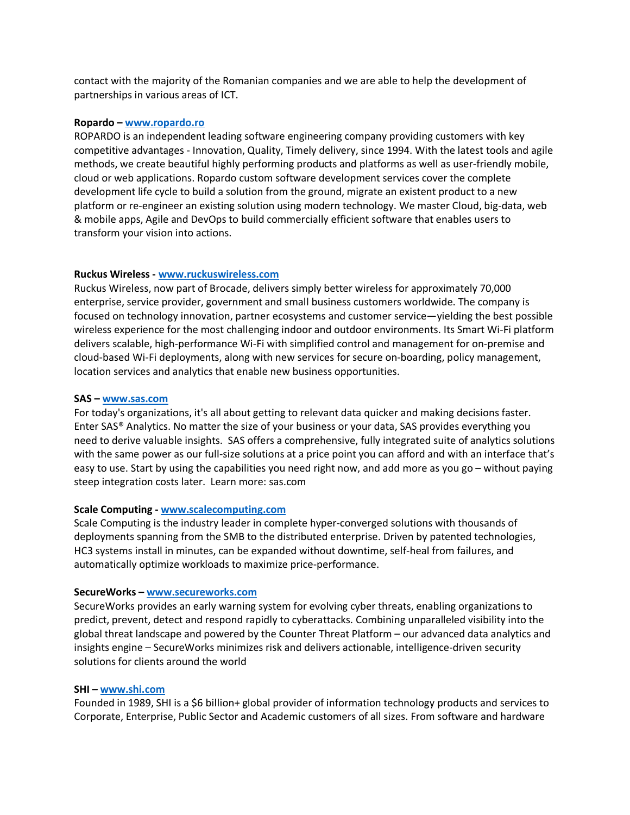contact with the majority of the Romanian companies and we are able to help the development of partnerships in various areas of ICT.

#### **Ropardo – www.ropardo.ro**

ROPARDO is an independent leading software engineering company providing customers with key competitive advantages - Innovation, Quality, Timely delivery, since 1994. With the latest tools and agile methods, we create beautiful highly performing products and platforms as well as user-friendly mobile, cloud or web applications. Ropardo custom software development services cover the complete development life cycle to build a solution from the ground, migrate an existent product to a new platform or re-engineer an existing solution using modern technology. We master Cloud, big-data, web & mobile apps, Agile and DevOps to build commercially efficient software that enables users to transform your vision into actions.

# **Ruckus Wireless - www.ruckuswireless.com**

Ruckus Wireless, now part of Brocade, delivers simply better wireless for approximately 70,000 enterprise, service provider, government and small business customers worldwide. The company is focused on technology innovation, partner ecosystems and customer service—yielding the best possible wireless experience for the most challenging indoor and outdoor environments. Its Smart Wi-Fi platform delivers scalable, high-performance Wi-Fi with simplified control and management for on-premise and cloud-based Wi-Fi deployments, along with new services for secure on-boarding, policy management, location services and analytics that enable new business opportunities.

### **SAS – www.sas.com**

For today's organizations, it's all about getting to relevant data quicker and making decisions faster. Enter SAS® Analytics. No matter the size of your business or your data, SAS provides everything you need to derive valuable insights. SAS offers a comprehensive, fully integrated suite of analytics solutions with the same power as our full-size solutions at a price point you can afford and with an interface that's easy to use. Start by using the capabilities you need right now, and add more as you go – without paying steep integration costs later. Learn more: sas.com

### **Scale Computing - www.scalecomputing.com**

Scale Computing is the industry leader in complete hyper-converged solutions with thousands of deployments spanning from the SMB to the distributed enterprise. Driven by patented technologies, HC3 systems install in minutes, can be expanded without downtime, self-heal from failures, and automatically optimize workloads to maximize price-performance.

### **SecureWorks – www.secureworks.com**

SecureWorks provides an early warning system for evolving cyber threats, enabling organizations to predict, prevent, detect and respond rapidly to cyberattacks. Combining unparalleled visibility into the global threat landscape and powered by the Counter Threat Platform – our advanced data analytics and insights engine – SecureWorks minimizes risk and delivers actionable, intelligence-driven security solutions for clients around the world

### **SHI – www.shi.com**

Founded in 1989, SHI is a \$6 billion+ global provider of information technology products and services to Corporate, Enterprise, Public Sector and Academic customers of all sizes. From software and hardware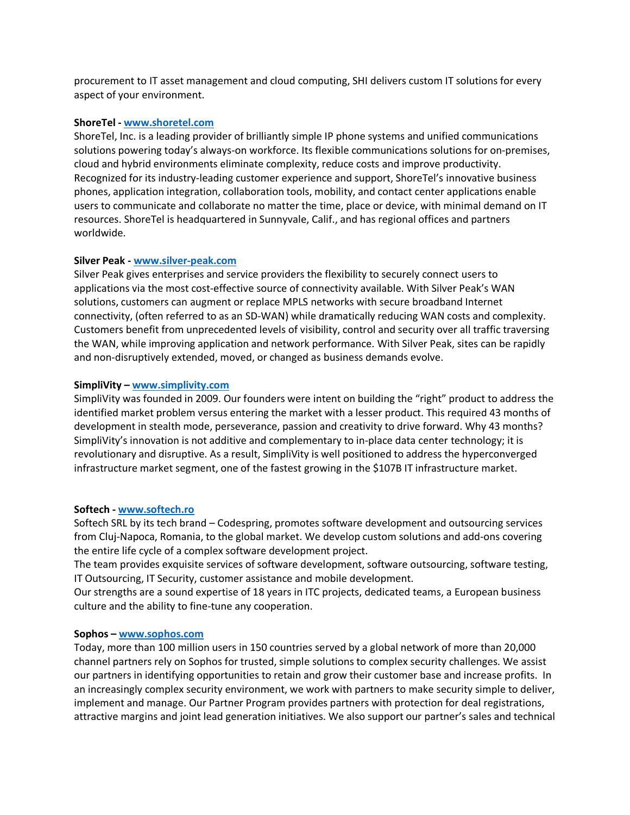procurement to IT asset management and cloud computing, SHI delivers custom IT solutions for every aspect of your environment.

#### **ShoreTel - www.shoretel.com**

ShoreTel, Inc. is a leading provider of brilliantly simple IP phone systems and unified communications solutions powering today's always-on workforce. Its flexible communications solutions for on-premises, cloud and hybrid environments eliminate complexity, reduce costs and improve productivity. Recognized for its industry-leading customer experience and support, ShoreTel's innovative business phones, application integration, collaboration tools, mobility, and contact center applications enable users to communicate and collaborate no matter the time, place or device, with minimal demand on IT resources. ShoreTel is headquartered in Sunnyvale, Calif., and has regional offices and partners worldwide.

### **Silver Peak - www.silver-peak.com**

Silver Peak gives enterprises and service providers the flexibility to securely connect users to applications via the most cost-effective source of connectivity available. With Silver Peak's WAN solutions, customers can augment or replace MPLS networks with secure broadband Internet connectivity, (often referred to as an SD-WAN) while dramatically reducing WAN costs and complexity. Customers benefit from unprecedented levels of visibility, control and security over all traffic traversing the WAN, while improving application and network performance. With Silver Peak, sites can be rapidly and non-disruptively extended, moved, or changed as business demands evolve.

#### **SimpliVity – www.simplivity.com**

SimpliVity was founded in 2009. Our founders were intent on building the "right" product to address the identified market problem versus entering the market with a lesser product. This required 43 months of development in stealth mode, perseverance, passion and creativity to drive forward. Why 43 months? SimpliVity's innovation is not additive and complementary to in-place data center technology; it is revolutionary and disruptive. As a result, SimpliVity is well positioned to address the hyperconverged infrastructure market segment, one of the fastest growing in the \$107B IT infrastructure market.

#### **Softech - www.softech.ro**

Softech SRL by its tech brand – Codespring, promotes software development and outsourcing services from Cluj-Napoca, Romania, to the global market. We develop custom solutions and add-ons covering the entire life cycle of a complex software development project.

The team provides exquisite services of software development, software outsourcing, software testing, IT Outsourcing, IT Security, customer assistance and mobile development.

Our strengths are a sound expertise of 18 years in ITC projects, dedicated teams, a European business culture and the ability to fine-tune any cooperation.

### **Sophos – www.sophos.com**

Today, more than 100 million users in 150 countries served by a global network of more than 20,000 channel partners rely on Sophos for trusted, simple solutions to complex security challenges. We assist our partners in identifying opportunities to retain and grow their customer base and increase profits. In an increasingly complex security environment, we work with partners to make security simple to deliver, implement and manage. Our Partner Program provides partners with protection for deal registrations, attractive margins and joint lead generation initiatives. We also support our partner's sales and technical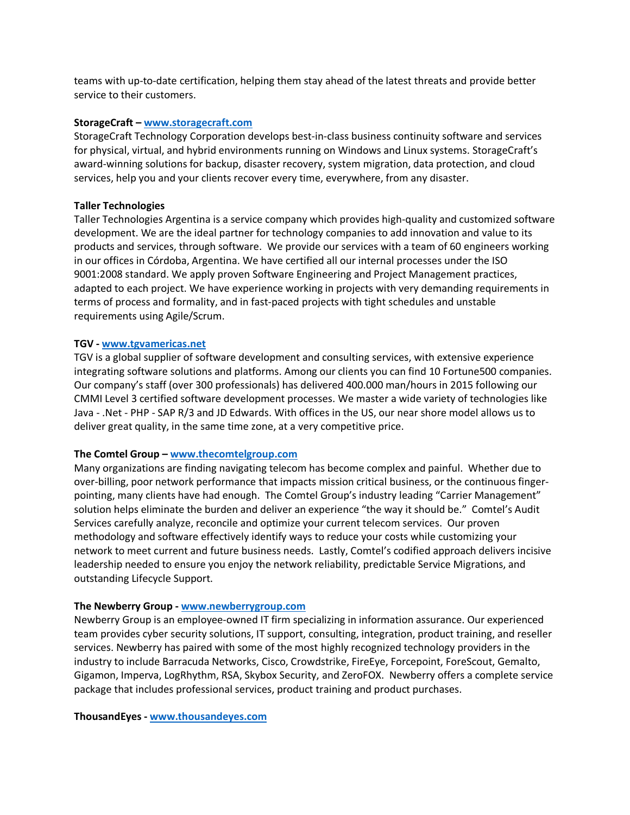teams with up-to-date certification, helping them stay ahead of the latest threats and provide better service to their customers.

### **StorageCraft – www.storagecraft.com**

StorageCraft Technology Corporation develops best-in-class business continuity software and services for physical, virtual, and hybrid environments running on Windows and Linux systems. StorageCraft's award-winning solutions for backup, disaster recovery, system migration, data protection, and cloud services, help you and your clients recover every time, everywhere, from any disaster.

### **Taller Technologies**

Taller Technologies Argentina is a service company which provides high-quality and customized software development. We are the ideal partner for technology companies to add innovation and value to its products and services, through software. We provide our services with a team of 60 engineers working in our offices in Córdoba, Argentina. We have certified all our internal processes under the ISO 9001:2008 standard. We apply proven Software Engineering and Project Management practices, adapted to each project. We have experience working in projects with very demanding requirements in terms of process and formality, and in fast-paced projects with tight schedules and unstable requirements using Agile/Scrum.

#### **TGV - www.tgvamericas.net**

TGV is a global supplier of software development and consulting services, with extensive experience integrating software solutions and platforms. Among our clients you can find 10 Fortune500 companies. Our company's staff (over 300 professionals) has delivered 400.000 man/hours in 2015 following our CMMI Level 3 certified software development processes. We master a wide variety of technologies like Java - .Net - PHP - SAP R/3 and JD Edwards. With offices in the US, our near shore model allows us to deliver great quality, in the same time zone, at a very competitive price.

### **The Comtel Group – www.thecomtelgroup.com**

Many organizations are finding navigating telecom has become complex and painful. Whether due to over-billing, poor network performance that impacts mission critical business, or the continuous fingerpointing, many clients have had enough. The Comtel Group's industry leading "Carrier Management" solution helps eliminate the burden and deliver an experience "the way it should be." Comtel's Audit Services carefully analyze, reconcile and optimize your current telecom services. Our proven methodology and software effectively identify ways to reduce your costs while customizing your network to meet current and future business needs. Lastly, Comtel's codified approach delivers incisive leadership needed to ensure you enjoy the network reliability, predictable Service Migrations, and outstanding Lifecycle Support.

### **The Newberry Group - www.newberrygroup.com**

Newberry Group is an employee-owned IT firm specializing in information assurance. Our experienced team provides cyber security solutions, IT support, consulting, integration, product training, and reseller services. Newberry has paired with some of the most highly recognized technology providers in the industry to include Barracuda Networks, Cisco, Crowdstrike, FireEye, Forcepoint, ForeScout, Gemalto, Gigamon, Imperva, LogRhythm, RSA, Skybox Security, and ZeroFOX. Newberry offers a complete service package that includes professional services, product training and product purchases.

**ThousandEyes - www.thousandeyes.com**